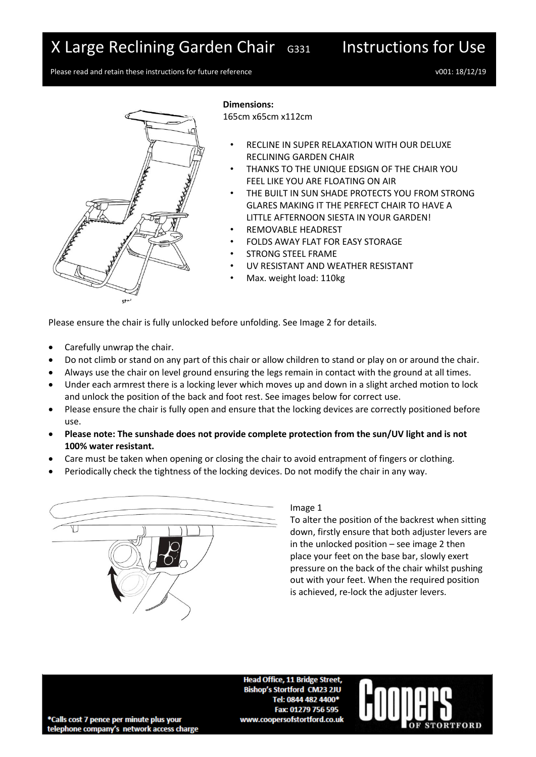# X Large Reclining Garden Chair G331 Instructions for Use

Please read and retain these instructions for future reference values of values of the values of values values v v001: 18/12/19



**Dimensions:**

165cm x65cm x112cm

- RECLINE IN SUPER RELAXATION WITH OUR DELUXE RECLINING GARDEN CHAIR
- THANKS TO THE UNIQUE EDSIGN OF THE CHAIR YOU FEEL LIKE YOU ARE FLOATING ON AIR
- THE BUILT IN SUN SHADE PROTECTS YOU FROM STRONG GLARES MAKING IT THE PERFECT CHAIR TO HAVE A LITTLE AFTERNOON SIESTA IN YOUR GARDEN!
- REMOVABLE HEADREST
- FOLDS AWAY FLAT FOR EASY STORAGE
- STRONG STEEL FRAME
- UV RESISTANT AND WEATHER RESISTANT
- Max. weight load: 110kg

Please ensure the chair is fully unlocked before unfolding. See Image 2 for details.

- Carefully unwrap the chair.
- Do not climb or stand on any part of this chair or allow children to stand or play on or around the chair.
- Always use the chair on level ground ensuring the legs remain in contact with the ground at all times.
- Under each armrest there is a locking lever which moves up and down in a slight arched motion to lock and unlock the position of the back and foot rest. See images below for correct use.
- Please ensure the chair is fully open and ensure that the locking devices are correctly positioned before use.
- **Please note: The sunshade does not provide complete protection from the sun/UV light and is not 100% water resistant.**
- Care must be taken when opening or closing the chair to avoid entrapment of fingers or clothing.
- Periodically check the tightness of the locking devices. Do not modify the chair in any way.



## Image 1

To alter the position of the backrest when sitting down, firstly ensure that both adjuster levers are in the unlocked position – see image 2 then place your feet on the base bar, slowly exert pressure on the back of the chair whilst pushing out with your feet. When the required position is achieved, re-lock the adjuster levers.

**Head Office, 11 Bridge Street. Bishop's Stortford CM23 2JU** Tel: 0844 482 4400\* Fax: 01279 756 595 www.coopersofstortford.co.uk



\*Calls cost 7 pence per minute plus your telephone company's network access charge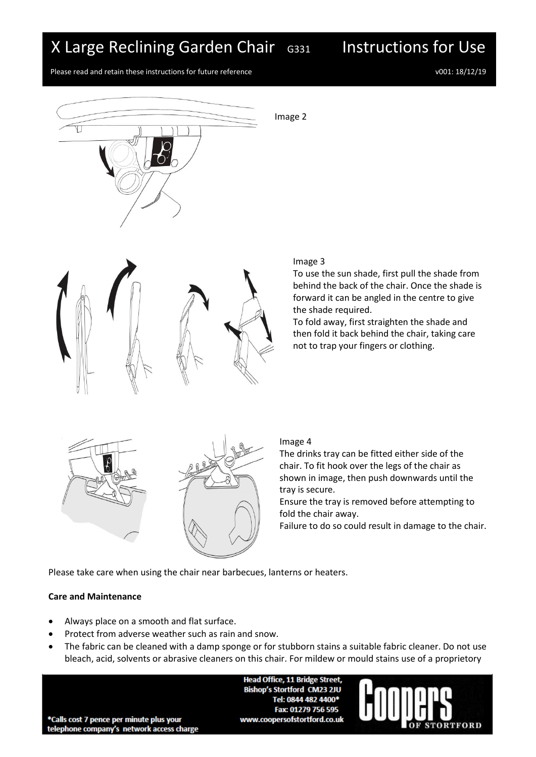# X Large Reclining Garden Chair G331 Instructions for Use

Please read and retain these instructions for future reference values of values of the values of v001: 18/12/19



Image 2



#### Image 3

To use the sun shade, first pull the shade from behind the back of the chair. Once the shade is forward it can be angled in the centre to give the shade required.

To fold away, first straighten the shade and then fold it back behind the chair, taking care not to trap your fingers or clothing.





### Image 4

The drinks tray can be fitted either side of the chair. To fit hook over the legs of the chair as shown in image, then push downwards until the tray is secure.

Ensure the tray is removed before attempting to fold the chair away.

Failure to do so could result in damage to the chair.

Please take care when using the chair near barbecues, lanterns or heaters.

## **Care and Maintenance**

- Always place on a smooth and flat surface.
- Protect from adverse weather such as rain and snow.
- The fabric can be cleaned with a damp sponge or for stubborn stains a suitable fabric cleaner. Do not use bleach, acid, solvents or abrasive cleaners on this chair. For mildew or mould stains use of a proprietory

**Head Office, 11 Bridge Street, Bishop's Stortford CM23 2JU** Tel: 0844 482 4400\* Fax: 01279 756 595 www.coopersofstortford.co.uk



\*Calls cost 7 pence per minute plus your telephone company's network access charge